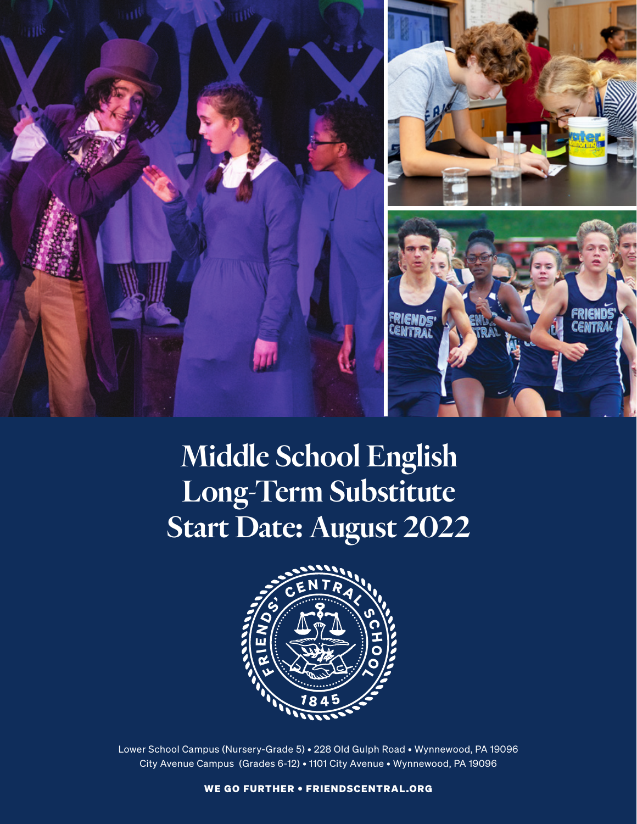

# Middle School English Long-Term Substitute Start Date: August 2022



Lower School Campus (Nursery-Grade 5) • 228 Old Gulph Road • Wynnewood, PA 19096 City Avenue Campus (Grades 6-12) • 1101 City Avenue • Wynnewood, PA 19096

WE GO FURTHER • FRIENDSCENTRAL.ORG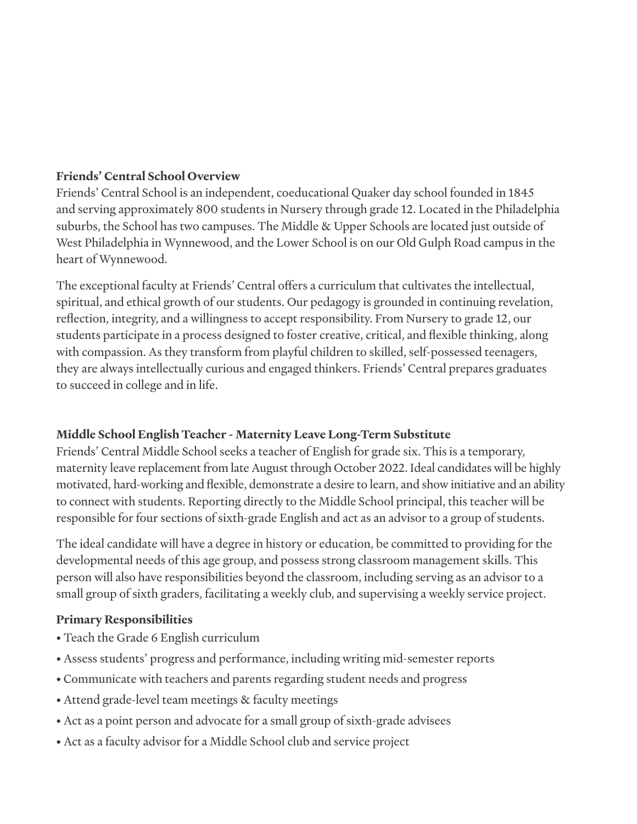#### **Friends' Central School Overview**

Friends' Central School is an independent, coeducational Quaker day school founded in 1845 and serving approximately 800 students in Nursery through grade 12. Located in the Philadelphia suburbs, the School has two campuses. The Middle & Upper Schools are located just outside of West Philadelphia in Wynnewood, and the Lower School is on our Old Gulph Road campus in the heart of Wynnewood.

The exceptional faculty at Friends' Central offers a curriculum that cultivates the intellectual, spiritual, and ethical growth of our students. Our pedagogy is grounded in continuing revelation, reflection, integrity, and a willingness to accept responsibility. From Nursery to grade 12, our students participate in a process designed to foster creative, critical, and flexible thinking, along with compassion. As they transform from playful children to skilled, self-possessed teenagers, they are always intellectually curious and engaged thinkers. Friends' Central prepares graduates to succeed in college and in life.

## **Middle School English Teacher - Maternity Leave Long-Term Substitute**

Friends' Central Middle School seeks a teacher of English for grade six. This is a temporary, maternity leave replacement from late August through October 2022. Ideal candidates will be highly motivated, hard-working and flexible, demonstrate a desire to learn, and show initiative and an ability to connect with students. Reporting directly to the Middle School principal, this teacher will be responsible for four sections of sixth-grade English and act as an advisor to a group of students.

The ideal candidate will have a degree in history or education, be committed to providing for the developmental needs of this age group, and possess strong classroom management skills. This person will also have responsibilities beyond the classroom, including serving as an advisor to a small group of sixth graders, facilitating a weekly club, and supervising a weekly service project.

## **Primary Responsibilities**

- Teach the Grade 6 English curriculum
- Assess students' progress and performance, including writing mid-semester reports
- Communicate with teachers and parents regarding student needs and progress
- Attend grade-level team meetings & faculty meetings
- Act as a point person and advocate for a small group of sixth-grade advisees
- Act as a faculty advisor for a Middle School club and service project